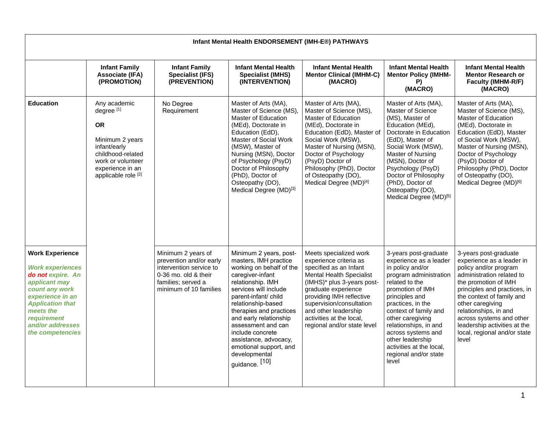| Infant Mental Health ENDORSEMENT (IMH-E®) PATHWAYS                                                                                                                                                                                  |                                                                                                                                                                            |                                                                                                                                                  |                                                                                                                                                                                                                                                                                                                                                                                  |                                                                                                                                                                                                                                                                                                               |                                                                                                                                                                                                                                                                                                                                                          |                                                                                                                                                                                                                                                                                                                                                 |  |  |
|-------------------------------------------------------------------------------------------------------------------------------------------------------------------------------------------------------------------------------------|----------------------------------------------------------------------------------------------------------------------------------------------------------------------------|--------------------------------------------------------------------------------------------------------------------------------------------------|----------------------------------------------------------------------------------------------------------------------------------------------------------------------------------------------------------------------------------------------------------------------------------------------------------------------------------------------------------------------------------|---------------------------------------------------------------------------------------------------------------------------------------------------------------------------------------------------------------------------------------------------------------------------------------------------------------|----------------------------------------------------------------------------------------------------------------------------------------------------------------------------------------------------------------------------------------------------------------------------------------------------------------------------------------------------------|-------------------------------------------------------------------------------------------------------------------------------------------------------------------------------------------------------------------------------------------------------------------------------------------------------------------------------------------------|--|--|
|                                                                                                                                                                                                                                     | <b>Infant Family</b><br><b>Associate (IFA)</b><br>(PROMOTION)                                                                                                              | <b>Infant Family</b><br><b>Specialist (IFS)</b><br>(PREVENTION)                                                                                  | <b>Infant Mental Health</b><br><b>Specialist (IMHS)</b><br>(INTERVENTION)                                                                                                                                                                                                                                                                                                        | <b>Infant Mental Health</b><br><b>Mentor Clinical (IMHM-C)</b><br>(MACRO)                                                                                                                                                                                                                                     | <b>Infant Mental Health</b><br><b>Mentor Policy (IMHM-</b><br>P)<br>(MACRO)                                                                                                                                                                                                                                                                              | <b>Infant Mental Health</b><br><b>Mentor Research or</b><br><b>Faculty (IMHM-R/F)</b><br>(MACRO)                                                                                                                                                                                                                                                |  |  |
| <b>Education</b>                                                                                                                                                                                                                    | Any academic<br>degree [1]<br><b>OR</b><br>Minimum 2 years<br>infant/early<br>childhood-related<br>work or volunteer<br>experience in an<br>applicable role <sup>[2]</sup> | No Degree<br>Requirement                                                                                                                         | Master of Arts (MA),<br>Master of Science (MS),<br>Master of Education<br>(MEd), Doctorate in<br>Education (EdD),<br>Master of Social Work<br>(MSW), Master of<br>Nursing (MSN), Doctor<br>of Psychology (PsyD)<br>Doctor of Philosophy<br>(PhD), Doctor of<br>Osteopathy (DO),<br>Medical Degree (MD)[3]                                                                        | Master of Arts (MA),<br>Master of Science (MS),<br>Master of Education<br>(MEd), Doctorate in<br>Education (EdD), Master of<br>Social Work (MSW),<br>Master of Nursing (MSN),<br>Doctor of Psychology<br>(PsyD) Doctor of<br>Philosophy (PhD), Doctor<br>of Osteopathy (DO),<br>Medical Degree (MD)[4]        | Master of Arts (MA),<br>Master of Science<br>(MS), Master of<br>Education (MEd),<br>Doctorate in Education<br>(EdD), Master of<br>Social Work (MSW),<br>Master of Nursing<br>(MSN), Doctor of<br>Psychology (PsyD)<br>Doctor of Philosophy<br>(PhD), Doctor of<br>Osteopathy (DO),<br>Medical Degree (MD) <sup>[5]</sup>                                 | Master of Arts (MA),<br>Master of Science (MS).<br>Master of Education<br>(MEd), Doctorate in<br>Education (EdD), Master<br>of Social Work (MSW),<br>Master of Nursing (MSN),<br>Doctor of Psychology<br>(PsyD) Doctor of<br>Philosophy (PhD), Doctor<br>of Osteopathy (DO),<br>Medical Degree (MD) <sup>[6]</sup>                              |  |  |
| <b>Work Experience</b><br><b>Work experiences</b><br>do not expire. An<br>applicant may<br>count any work<br>experience in an<br><b>Application that</b><br>meets the<br><b>requirement</b><br>and/or addresses<br>the competencies |                                                                                                                                                                            | Minimum 2 years of<br>prevention and/or early<br>intervention service to<br>0-36 mo. old & their<br>families: served a<br>minimum of 10 families | Minimum 2 years, post-<br>masters, IMH practice<br>working on behalf of the<br>caregiver-infant<br>relationship. IMH<br>services will include<br>parent-infant/ child<br>relationship-based<br>therapies and practices<br>and early relationship<br>assessment and can<br>include concrete<br>assistance, advocacy,<br>emotional support, and<br>developmental<br>guidance. [10] | Meets specialized work<br>experience criteria as<br>specified as an Infant<br><b>Mental Health Specialist</b><br>(IMHS)* plus 3-years post-<br>graduate experience<br>providing IMH reflective<br>supervision/consultation<br>and other leadership<br>activities at the local,<br>regional and/or state level | 3-years post-graduate<br>experience as a leader<br>in policy and/or<br>program administration<br>related to the<br>promotion of IMH<br>principles and<br>practices, in the<br>context of family and<br>other caregiving<br>relationships, in and<br>across systems and<br>other leadership<br>activities at the local.<br>regional and/or state<br>level | 3-years post-graduate<br>experience as a leader in<br>policy and/or program<br>administration related to<br>the promotion of IMH<br>principles and practices, in<br>the context of family and<br>other caregiving<br>relationships, in and<br>across systems and other<br>leadership activities at the<br>local, regional and/or state<br>level |  |  |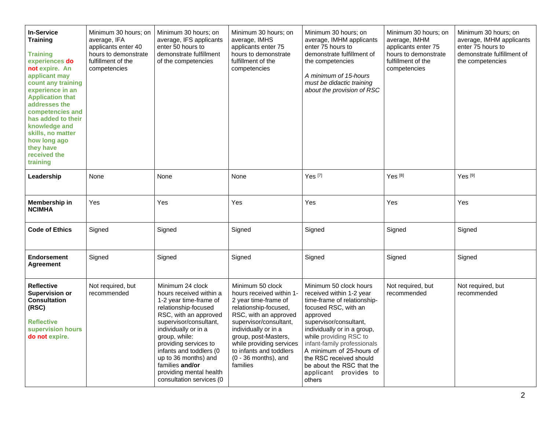| <b>In-Service</b><br><b>Training</b><br>Training<br>experiences do<br>not expire. An<br>applicant may<br>count any training<br>experience in an<br><b>Application that</b><br>addresses the<br>competencies and<br>has added to their<br>knowledge and<br>skills, no matter<br>how long ago<br>they have<br>received the<br>training | Minimum 30 hours; on<br>average, IFA<br>applicants enter 40<br>hours to demonstrate<br>fulfillment of the<br>competencies | Minimum 30 hours; on<br>average, IFS applicants<br>enter 50 hours to<br>demonstrate fulfillment<br>of the competencies                                                                                                                                                                                                                          | Minimum 30 hours; on<br>average, IMHS<br>applicants enter 75<br>hours to demonstrate<br>fulfillment of the<br>competencies                                                                                                                                                                    | Minimum 30 hours; on<br>average, IMHM applicants<br>enter 75 hours to<br>demonstrate fulfillment of<br>the competencies<br>A minimum of 15-hours<br>must be didactic training<br>about the provision of RSC                                                                                                                                                    | Minimum 30 hours; on<br>average, IMHM<br>applicants enter 75<br>hours to demonstrate<br>fulfillment of the<br>competencies | Minimum 30 hours; on<br>average, IMHM applicants<br>enter 75 hours to<br>demonstrate fulfillment of<br>the competencies |
|--------------------------------------------------------------------------------------------------------------------------------------------------------------------------------------------------------------------------------------------------------------------------------------------------------------------------------------|---------------------------------------------------------------------------------------------------------------------------|-------------------------------------------------------------------------------------------------------------------------------------------------------------------------------------------------------------------------------------------------------------------------------------------------------------------------------------------------|-----------------------------------------------------------------------------------------------------------------------------------------------------------------------------------------------------------------------------------------------------------------------------------------------|----------------------------------------------------------------------------------------------------------------------------------------------------------------------------------------------------------------------------------------------------------------------------------------------------------------------------------------------------------------|----------------------------------------------------------------------------------------------------------------------------|-------------------------------------------------------------------------------------------------------------------------|
| Leadership                                                                                                                                                                                                                                                                                                                           | None                                                                                                                      | None                                                                                                                                                                                                                                                                                                                                            | None                                                                                                                                                                                                                                                                                          | Yes <sup>[7]</sup>                                                                                                                                                                                                                                                                                                                                             | Yes <sup>[8]</sup>                                                                                                         | Yes <sup>[9]</sup>                                                                                                      |
| Membership in<br><b>NCIMHA</b>                                                                                                                                                                                                                                                                                                       | Yes                                                                                                                       | Yes                                                                                                                                                                                                                                                                                                                                             | Yes                                                                                                                                                                                                                                                                                           | Yes                                                                                                                                                                                                                                                                                                                                                            | Yes                                                                                                                        | Yes                                                                                                                     |
| <b>Code of Ethics</b>                                                                                                                                                                                                                                                                                                                | Signed                                                                                                                    | Signed                                                                                                                                                                                                                                                                                                                                          | Signed                                                                                                                                                                                                                                                                                        | Signed                                                                                                                                                                                                                                                                                                                                                         | Signed                                                                                                                     | Signed                                                                                                                  |
| <b>Endorsement</b><br><b>Agreement</b>                                                                                                                                                                                                                                                                                               | Signed                                                                                                                    | Signed                                                                                                                                                                                                                                                                                                                                          | Signed                                                                                                                                                                                                                                                                                        | Signed                                                                                                                                                                                                                                                                                                                                                         | Signed                                                                                                                     | Signed                                                                                                                  |
| <b>Reflective</b><br><b>Supervision or</b><br><b>Consultation</b><br>(RSC)<br><b>Reflective</b><br>supervision hours<br>do not expire.                                                                                                                                                                                               | Not required, but<br>recommended                                                                                          | Minimum 24 clock<br>hours received within a<br>1-2 year time-frame of<br>relationship-focused<br>RSC, with an approved<br>supervisor/consultant,<br>individually or in a<br>group, while:<br>providing services to<br>infants and toddlers (0<br>up to 36 months) and<br>families and/or<br>providing mental health<br>consultation services (0 | Minimum 50 clock<br>hours received within 1-<br>2 year time-frame of<br>relationship-focused,<br>RSC, with an approved<br>supervisor/consultant,<br>individually or in a<br>group, post-Masters,<br>while providing services<br>to infants and toddlers<br>$(0 - 36$ months), and<br>families | Minimum 50 clock hours<br>received within 1-2 year<br>time-frame of relationship-<br>focused RSC, with an<br>approved<br>supervisor/consultant,<br>individually or in a group,<br>while providing RSC to<br>infant-family professionals<br>A minimum of 25-hours of<br>the RSC received should<br>be about the RSC that the<br>applicant provides to<br>others | Not required, but<br>recommended                                                                                           | Not required, but<br>recommended                                                                                        |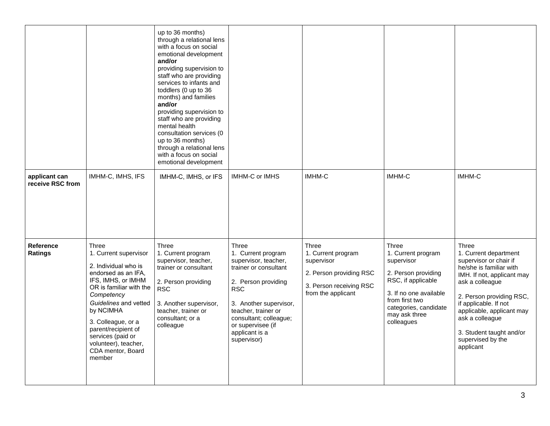|                                    |                                                                                                                                                                                                                                                                                                             | up to 36 months)<br>through a relational lens<br>with a focus on social<br>emotional development<br>and/or<br>providing supervision to<br>staff who are providing<br>services to infants and<br>toddlers (0 up to 36<br>months) and families<br>and/or<br>providing supervision to<br>staff who are providing<br>mental health<br>consultation services (0<br>up to 36 months)<br>through a relational lens<br>with a focus on social<br>emotional development |                                                                                                                                                                                                                                                    |                                                                                                                       |                                                                                                                                                                                            |                                                                                                                                                                                                                                                                                                         |
|------------------------------------|-------------------------------------------------------------------------------------------------------------------------------------------------------------------------------------------------------------------------------------------------------------------------------------------------------------|----------------------------------------------------------------------------------------------------------------------------------------------------------------------------------------------------------------------------------------------------------------------------------------------------------------------------------------------------------------------------------------------------------------------------------------------------------------|----------------------------------------------------------------------------------------------------------------------------------------------------------------------------------------------------------------------------------------------------|-----------------------------------------------------------------------------------------------------------------------|--------------------------------------------------------------------------------------------------------------------------------------------------------------------------------------------|---------------------------------------------------------------------------------------------------------------------------------------------------------------------------------------------------------------------------------------------------------------------------------------------------------|
| applicant can<br>receive RSC from  | IMHM-C, IMHS, IFS                                                                                                                                                                                                                                                                                           | IMHM-C, IMHS, or IFS                                                                                                                                                                                                                                                                                                                                                                                                                                           | <b>IMHM-C or IMHS</b>                                                                                                                                                                                                                              | <b>IMHM-C</b>                                                                                                         | IMHM-C                                                                                                                                                                                     | IMHM-C                                                                                                                                                                                                                                                                                                  |
| <b>Reference</b><br><b>Ratings</b> | Three<br>1. Current supervisor<br>2. Individual who is<br>endorsed as an IFA,<br>IFS, IMHS, or IMHM<br>OR is familiar with the<br>Competency<br>Guidelines and vetted<br>by NCIMHA<br>3. Colleague, or a<br>parent/recipient of<br>services (paid or<br>volunteer), teacher,<br>CDA mentor, Board<br>member | Three<br>1. Current program<br>supervisor, teacher,<br>trainer or consultant<br>2. Person providing<br><b>RSC</b><br>3. Another supervisor,<br>teacher, trainer or<br>consultant; or a<br>colleague                                                                                                                                                                                                                                                            | Three<br>1. Current program<br>supervisor, teacher,<br>trainer or consultant<br>2. Person providing<br><b>RSC</b><br>3. Another supervisor,<br>teacher, trainer or<br>consultant; colleague;<br>or supervisee (if<br>applicant is a<br>supervisor) | Three<br>1. Current program<br>supervisor<br>2. Person providing RSC<br>3. Person receiving RSC<br>from the applicant | Three<br>1. Current program<br>supervisor<br>2. Person providing<br>RSC, if applicable<br>3. If no one available<br>from first two<br>categories, candidate<br>may ask three<br>colleagues | Three<br>1. Current department<br>supervisor or chair if<br>he/she is familiar with<br>IMH. If not, applicant may<br>ask a colleague<br>2. Person providing RSC,<br>if applicable. If not<br>applicable, applicant may<br>ask a colleague<br>3. Student taught and/or<br>supervised by the<br>applicant |